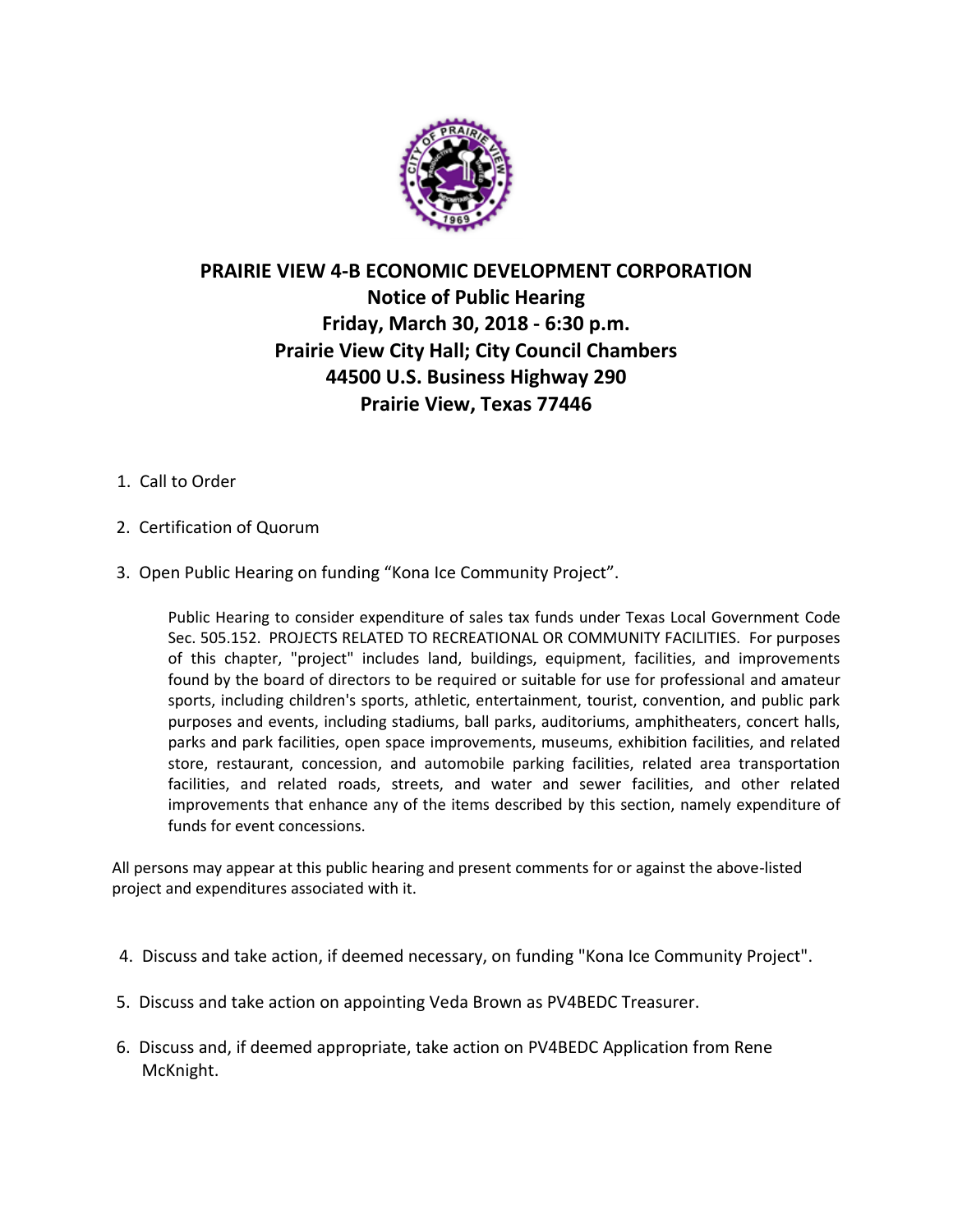

## **PRAIRIE VIEW 4-B ECONOMIC DEVELOPMENT CORPORATION Notice of Public Hearing Friday, March 30, 2018 - 6:30 p.m. Prairie View City Hall; City Council Chambers 44500 U.S. Business Highway 290 Prairie View, Texas 77446**

## 1. Call to Order

- 2. Certification of Quorum
- 3. Open Public Hearing on funding "Kona Ice Community Project".

Public Hearing to consider expenditure of sales tax funds under Texas Local Government Code Sec. 505.152. PROJECTS RELATED TO RECREATIONAL OR COMMUNITY FACILITIES. For purposes of this chapter, "project" includes land, buildings, equipment, facilities, and improvements found by the board of directors to be required or suitable for use for professional and amateur sports, including children's sports, athletic, entertainment, tourist, convention, and public park purposes and events, including stadiums, ball parks, auditoriums, amphitheaters, concert halls, parks and park facilities, open space improvements, museums, exhibition facilities, and related store, restaurant, concession, and automobile parking facilities, related area transportation facilities, and related roads, streets, and water and sewer facilities, and other related improvements that enhance any of the items described by this section, namely expenditure of funds for event concessions.

All persons may appear at this public hearing and present comments for or against the above-listed project and expenditures associated with it.

- 4. Discuss and take action, if deemed necessary, on funding "Kona Ice Community Project".
- 5. Discuss and take action on appointing Veda Brown as PV4BEDC Treasurer.
- 6. Discuss and, if deemed appropriate, take action on PV4BEDC Application from Rene McKnight.